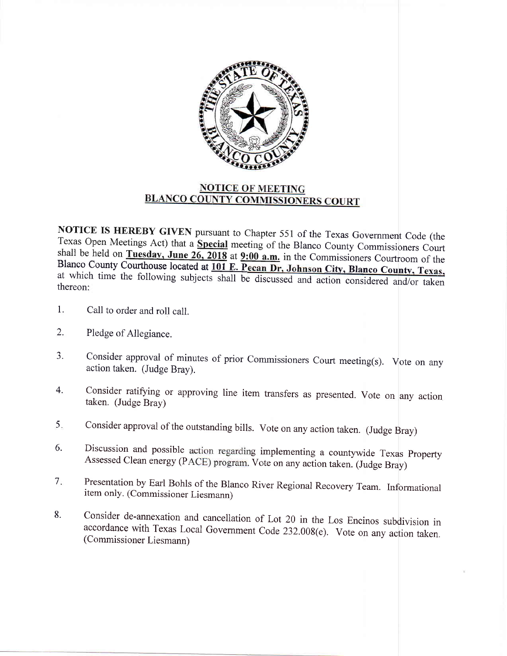

## **NOTICE OF MEETING BLANCO COUNTY COMMISSIONERS COURT**

thereon: NOTICE IS HEREBY GIVEN pursuant to Chapter 551 of the Texas Government Code (the Texas Open Meetings Act) that a Special meeting of the Blanco County Commissioners Court shall be held on Tuesday, June  $26$ , 2018 at  $9:00$  a.m. in the Commissioners Courtroom of the Share be held on **Tuesday, June 26, 2018** at  $9:00$  **a.m.** in the Commissioners Courtroom of the Blanco County Courthouse located at  $101$  E. Pecan Dr. Johnson City. Blanco County, Texas, at which time the following subjects shall be discussed and action considered and/or taken

- Call to order and roll call. 1.
- Pledge of Allegiance. 2.
- Consider approval of minutes of prior Commissioners Court meeting(s). Vote on any action taken. (Judge Bray). J.
- Consider ratifying or approving line item transfers as presented. Vote on any action taken. (Judge Bray) 4.
- consider approval of the outstanding bills. vote on any action taken. (Judge Bray) 5.
- Discussion and possible action regarding implementing a countywide Texas Property Assessed Clean energy (PACE) program. Vote on any action taken. (Judge Bray) 6.
- Presentation by Earl Bohls of the Blanco River Regional Recovery Team. Informational itern only. (Commissioner Liesmann)  $7.$
- Consider de-annexation and cancellation of Lot 20 in the Los Encinos subdivision in accordance with Texas Local Government Code 232.008(e). Vote on any action taken. (Commissioner Liesmann) 8.